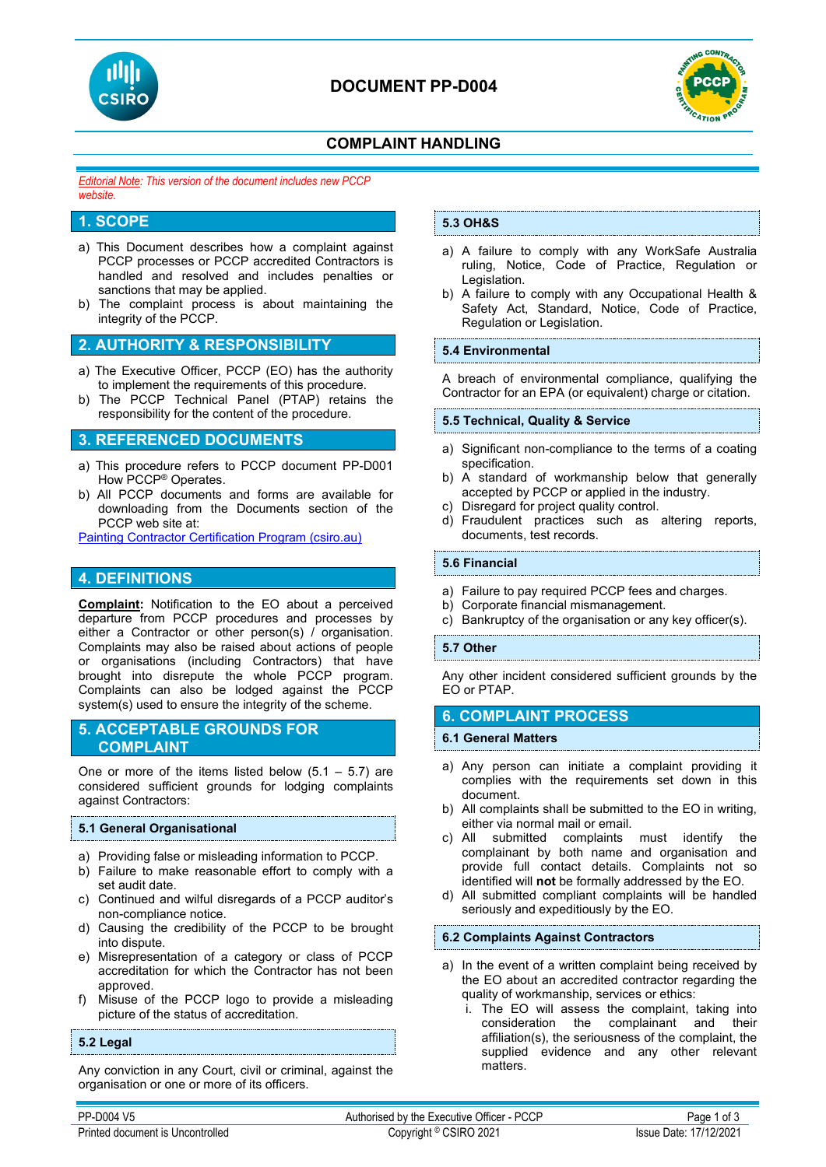



# **COMPLAINT HANDLING**

*Editorial Note: This version of the document includes new PCCP website.*

# **1. SCOPE**

- a) This Document describes how a complaint against PCCP processes or PCCP accredited Contractors is handled and resolved and includes penalties or sanctions that may be applied.
- b) The complaint process is about maintaining the integrity of the PCCP.

# **2. AUTHORITY & RESPONSIBILITY**

- a) The Executive Officer, PCCP (EO) has the authority to implement the requirements of this procedure.
- b) The PCCP Technical Panel (PTAP) retains the responsibility for the content of the procedure.

# **3. REFERENCED DOCUMENTS**

- a) This procedure refers to PCCP document PP-D001 How PCCP® Operates.
- b) All PCCP documents and forms are available for downloading from the Documents section of the PCCP web site at:

[Painting Contractor Certification Program \(csiro.au\)](https://vs.csiro.au/pccp/)

# **4. DEFINITIONS**

**Complaint:** Notification to the EO about a perceived departure from PCCP procedures and processes by either a Contractor or other person(s) / organisation. Complaints may also be raised about actions of people or organisations (including Contractors) that have brought into disrepute the whole PCCP program. Complaints can also be lodged against the PCCP system(s) used to ensure the integrity of the scheme.

# **5. ACCEPTABLE GROUNDS FOR COMPLAINT**

One or more of the items listed below  $(5.1 - 5.7)$  are considered sufficient grounds for lodging complaints against Contractors:

## **5.1 General Organisational**

- a) Providing false or misleading information to PCCP.
- b) Failure to make reasonable effort to comply with a set audit date.
- c) Continued and wilful disregards of a PCCP auditor's non-compliance notice.
- d) Causing the credibility of the PCCP to be brought into dispute.
- e) Misrepresentation of a category or class of PCCP accreditation for which the Contractor has not been approved.
- f) Misuse of the PCCP logo to provide a misleading picture of the status of accreditation.

## **5.2 Legal**

Any conviction in any Court, civil or criminal, against the organisation or one or more of its officers.

## **5.3 OH&S**

- a) A failure to comply with any WorkSafe Australia ruling, Notice, Code of Practice, Regulation or Legislation.
- b) A failure to comply with any Occupational Health & Safety Act, Standard, Notice, Code of Practice, Regulation or Legislation.

## **5.4 Environmental**

A breach of environmental compliance, qualifying the Contractor for an EPA (or equivalent) charge or citation.

## **5.5 Technical, Quality & Service**

- a) Significant non-compliance to the terms of a coating specification.
- b) A standard of workmanship below that generally accepted by PCCP or applied in the industry.
- c) Disregard for project quality control.
- d) Fraudulent practices such as altering reports, documents, test records.

## **5.6 Financial**

- a) Failure to pay required PCCP fees and charges.
- b) Corporate financial mismanagement.
- c) Bankruptcy of the organisation or any key officer(s).

## **5.7 Other**

Any other incident considered sufficient grounds by the EO or PTAP.

## **6. COMPLAINT PROCESS**

## **6.1 General Matters**

- a) Any person can initiate a complaint providing it complies with the requirements set down in this document.
- b) All complaints shall be submitted to the EO in writing, either via normal mail or email.
- c) All submitted complaints must identify the complainant by both name and organisation and provide full contact details. Complaints not so identified will **not** be formally addressed by the EO.
- d) All submitted compliant complaints will be handled seriously and expeditiously by the EO.

## **6.2 Complaints Against Contractors**

- a) In the event of a written complaint being received by the EO about an accredited contractor regarding the quality of workmanship, services or ethics:
	- i. The EO will assess the complaint, taking into consideration the complainant and their affiliation(s), the seriousness of the complaint, the supplied evidence and any other relevant matters.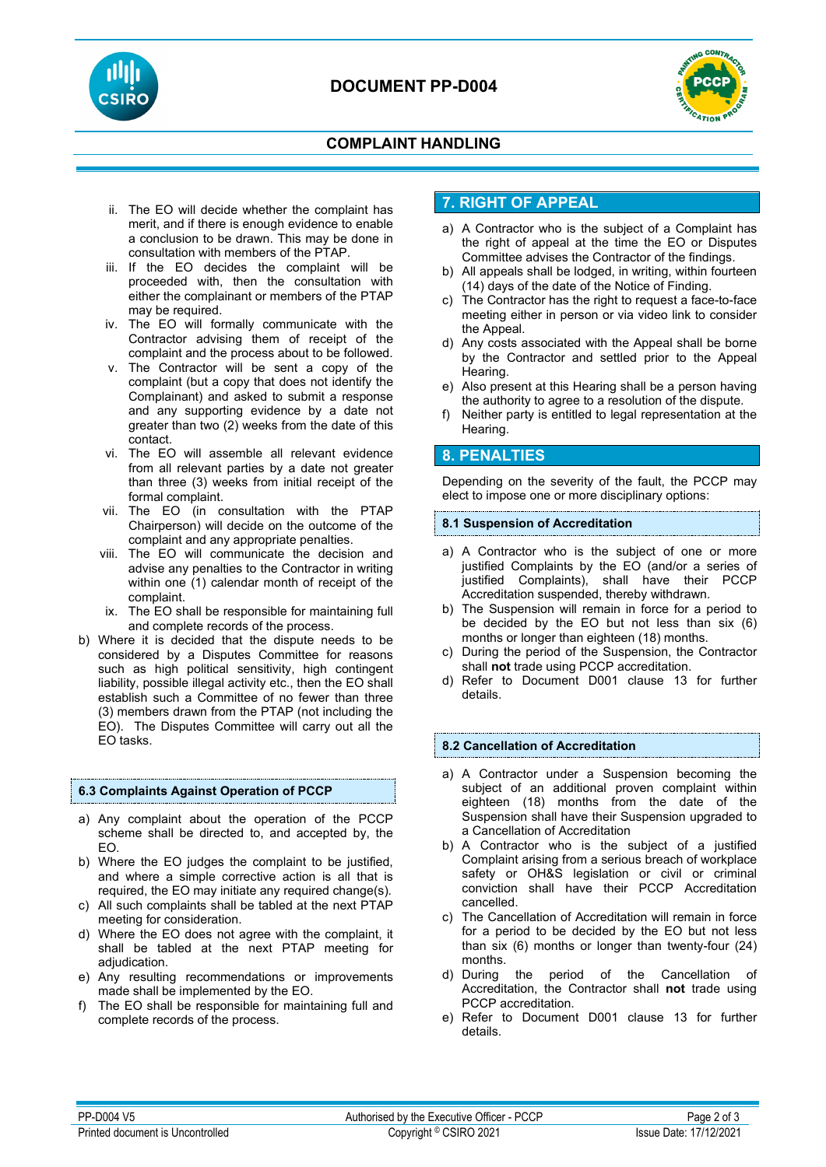



# **COMPLAINT HANDLING**

- ii. The EO will decide whether the complaint has merit, and if there is enough evidence to enable a conclusion to be drawn. This may be done in consultation with members of the PTAP.
- iii. If the EO decides the complaint will be proceeded with, then the consultation with either the complainant or members of the PTAP may be required.
- iv. The EO will formally communicate with the Contractor advising them of receipt of the complaint and the process about to be followed.
- v. The Contractor will be sent a copy of the complaint (but a copy that does not identify the Complainant) and asked to submit a response and any supporting evidence by a date not greater than two (2) weeks from the date of this contact.
- vi. The EO will assemble all relevant evidence from all relevant parties by a date not greater than three (3) weeks from initial receipt of the formal complaint.
- vii. The EO (in consultation with the PTAP Chairperson) will decide on the outcome of the complaint and any appropriate penalties.
- viii. The EO will communicate the decision and advise any penalties to the Contractor in writing within one (1) calendar month of receipt of the complaint.
- ix. The EO shall be responsible for maintaining full and complete records of the process.
- b) Where it is decided that the dispute needs to be considered by a Disputes Committee for reasons such as high political sensitivity, high contingent liability, possible illegal activity etc., then the EO shall establish such a Committee of no fewer than three (3) members drawn from the PTAP (not including the EO). The Disputes Committee will carry out all the EO tasks.

## **6.3 Complaints Against Operation of PCCP**

- a) Any complaint about the operation of the PCCP scheme shall be directed to, and accepted by, the EO.
- b) Where the EO judges the complaint to be justified, and where a simple corrective action is all that is required, the EO may initiate any required change(s).
- c) All such complaints shall be tabled at the next PTAP meeting for consideration.
- d) Where the EO does not agree with the complaint, it shall be tabled at the next PTAP meeting for adjudication.
- e) Any resulting recommendations or improvements made shall be implemented by the EO.
- f) The EO shall be responsible for maintaining full and complete records of the process.

# **7. RIGHT OF APPEAL**

- a) A Contractor who is the subject of a Complaint has the right of appeal at the time the EO or Disputes Committee advises the Contractor of the findings.
- b) All appeals shall be lodged, in writing, within fourteen (14) days of the date of the Notice of Finding.
- c) The Contractor has the right to request a face-to-face meeting either in person or via video link to consider the Appeal.
- d) Any costs associated with the Appeal shall be borne by the Contractor and settled prior to the Appeal Hearing.
- e) Also present at this Hearing shall be a person having the authority to agree to a resolution of the dispute.
- Neither party is entitled to legal representation at the Hearing.

# **8. PENALTIES**

Depending on the severity of the fault, the PCCP may elect to impose one or more disciplinary options:

#### **8.1 Suspension of Accreditation**

- a) A Contractor who is the subject of one or more justified Complaints by the EO (and/or a series of justified Complaints), shall have their PCCP Accreditation suspended, thereby withdrawn.
- b) The Suspension will remain in force for a period to be decided by the EO but not less than six (6) months or longer than eighteen (18) months.
- c) During the period of the Suspension, the Contractor shall **not** trade using PCCP accreditation.
- d) Refer to Document D001 clause 13 for further details.

## **8.2 Cancellation of Accreditation**

- a) A Contractor under a Suspension becoming the subject of an additional proven complaint within eighteen (18) months from the date of the Suspension shall have their Suspension upgraded to a Cancellation of Accreditation
- b) A Contractor who is the subject of a justified Complaint arising from a serious breach of workplace safety or OH&S legislation or civil or criminal conviction shall have their PCCP Accreditation cancelled.
- c) The Cancellation of Accreditation will remain in force for a period to be decided by the EO but not less than six (6) months or longer than twenty-four (24) months.
- d) During the period of the Cancellation of Accreditation, the Contractor shall **not** trade using PCCP accreditation.
- e) Refer to Document D001 clause 13 for further details.